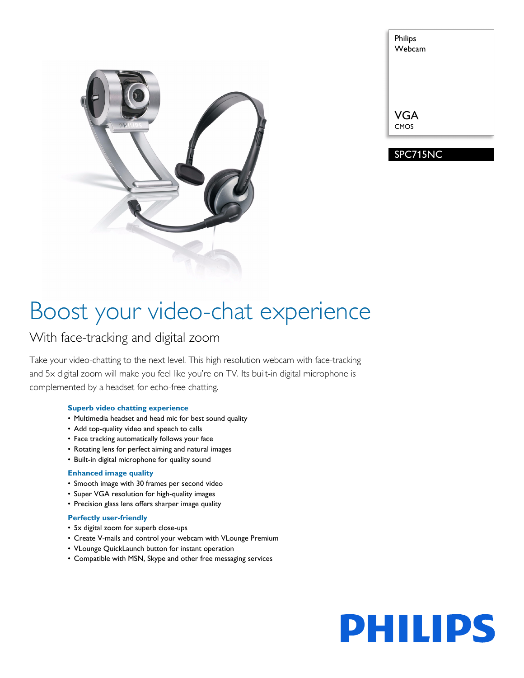

| Philips<br>Webcam |  |
|-------------------|--|
|                   |  |
|                   |  |
| <b>VGA</b>        |  |
|                   |  |

SPC715NC

# Boost your video-chat experience

### With face-tracking and digital zoom

Take your video-chatting to the next level. This high resolution webcam with face-tracking and 5x digital zoom will make you feel like you're on TV. Its built-in digital microphone is complemented by a headset for echo-free chatting.

#### **Superb video chatting experience**

- Multimedia headset and head mic for best sound quality
- Add top-quality video and speech to calls
- Face tracking automatically follows your face
- Rotating lens for perfect aiming and natural images
- Built-in digital microphone for quality sound

#### **Enhanced image quality**

- Smooth image with 30 frames per second video
- Super VGA resolution for high-quality images
- Precision glass lens offers sharper image quality

#### **Perfectly user-friendly**

- 5x digital zoom for superb close-ups
- Create V-mails and control your webcam with VLounge Premium
- VLounge QuickLaunch button for instant operation
- Compatible with MSN, Skype and other free messaging services